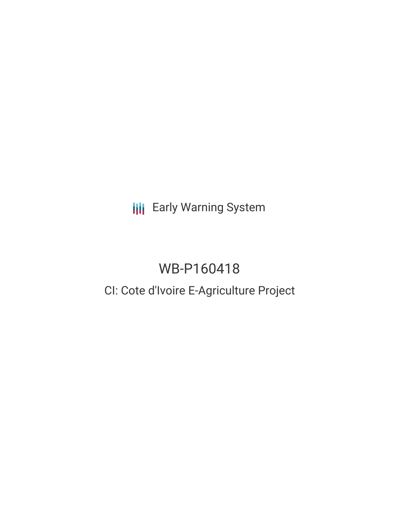**III** Early Warning System

# WB-P160418

## CI: Cote d'Ivoire E-Agriculture Project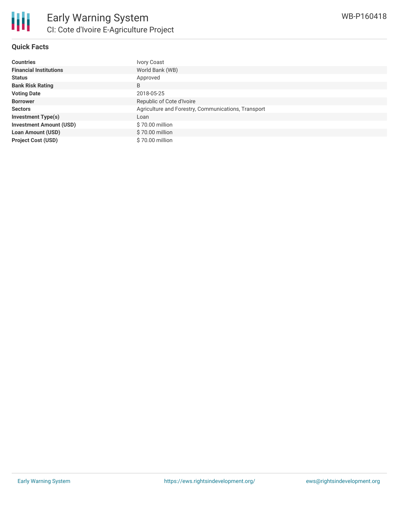

#### **Quick Facts**

| <b>Countries</b>               | Ivory Coast                                         |
|--------------------------------|-----------------------------------------------------|
| <b>Financial Institutions</b>  | World Bank (WB)                                     |
| <b>Status</b>                  | Approved                                            |
| <b>Bank Risk Rating</b>        | B                                                   |
| <b>Voting Date</b>             | 2018-05-25                                          |
| <b>Borrower</b>                | Republic of Cote d'Ivoire                           |
| <b>Sectors</b>                 | Agriculture and Forestry, Communications, Transport |
| <b>Investment Type(s)</b>      | Loan                                                |
| <b>Investment Amount (USD)</b> | \$70.00 million                                     |
| <b>Loan Amount (USD)</b>       | \$70.00 million                                     |
| <b>Project Cost (USD)</b>      | \$70,00 million                                     |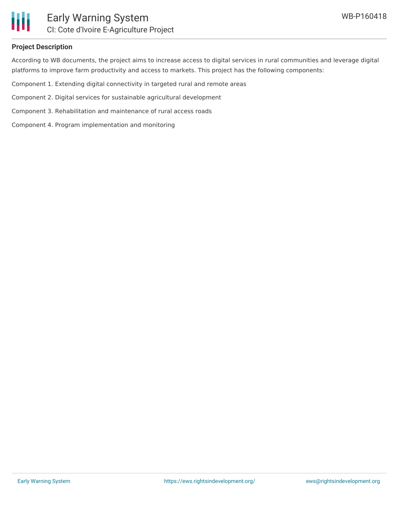

## Early Warning System CI: Cote d'Ivoire E-Agriculture Project

#### **Project Description**

According to WB documents, the project aims to increase access to digital services in rural communities and leverage digital platforms to improve farm productivity and access to markets. This project has the following components:

Component 1. Extending digital connectivity in targeted rural and remote areas

Component 2. Digital services for sustainable agricultural development

Component 3. Rehabilitation and maintenance of rural access roads

Component 4. Program implementation and monitoring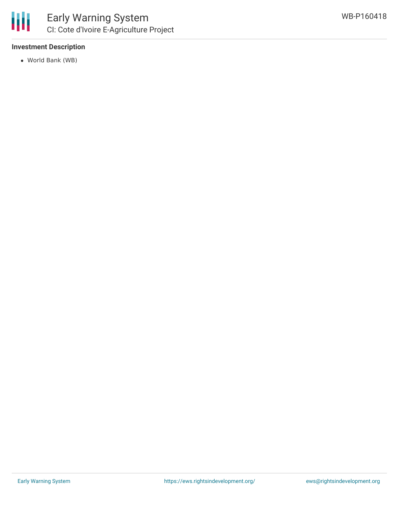

#### **Investment Description**

World Bank (WB)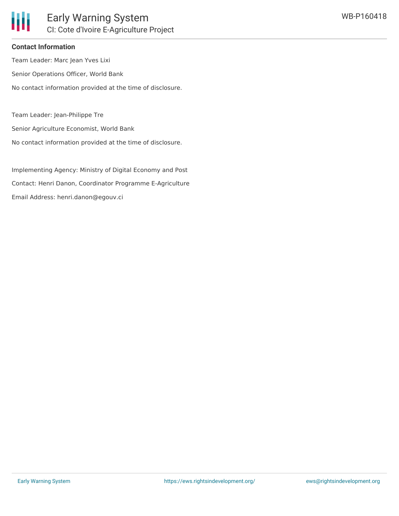#### **Contact Information**

Team Leader: Marc Jean Yves Lixi

Senior Operations Officer, World Bank

No contact information provided at the time of disclosure.

Team Leader: Jean-Philippe Tre

Senior Agriculture Economist, World Bank

No contact information provided at the time of disclosure.

Implementing Agency: Ministry of Digital Economy and Post Contact: Henri Danon, Coordinator Programme E-Agriculture Email Address: henri.danon@egouv.ci